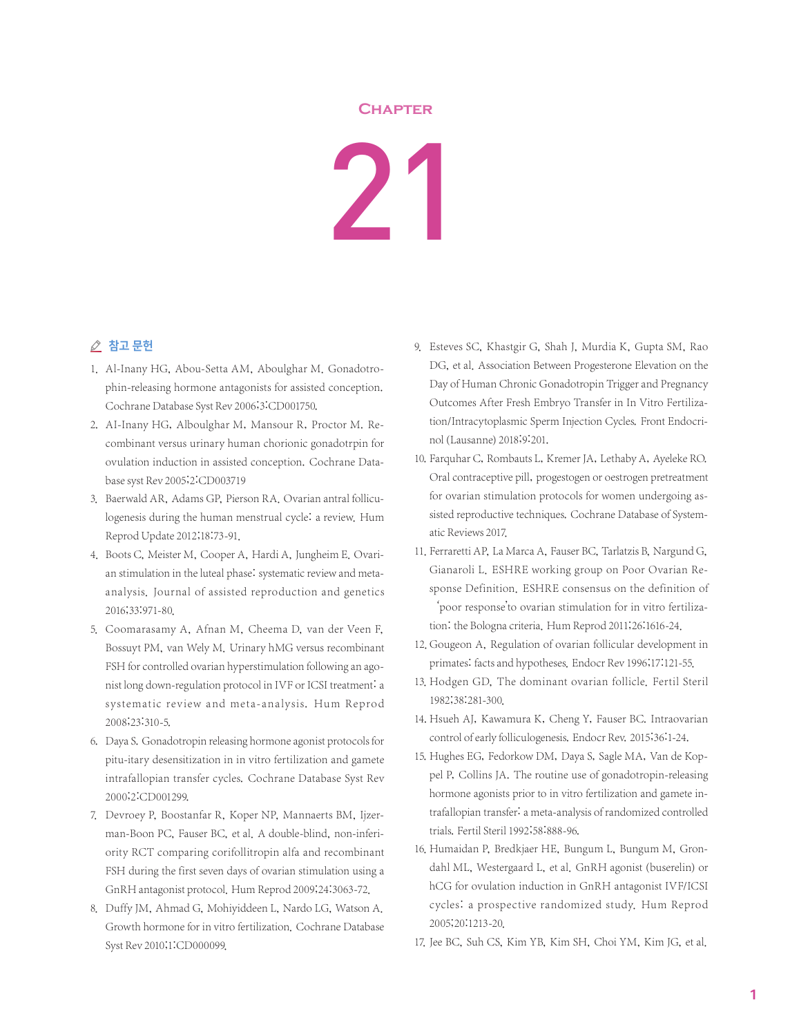## **Chapter**

21

## △ 참고 문헌

- 1. Al-Inany HG, Abou-Setta AM, Aboulghar M. Gonadotrophin-releasing hormone antagonists for assisted conception. Cochrane Database Syst Rev 2006;3:CD001750.
- 2. AI-Inany HG, Alboulghar M, Mansour R, Proctor M. Recombinant versus urinary human chorionic gonadotrpin for ovulation induction in assisted conception. Cochrane Database syst Rev 2005;2:CD003719
- 3. Baerwald AR, Adams GP, Pierson RA. Ovarian antral folliculogenesis during the human menstrual cycle: a review. Hum Reprod Update 2012;18:73-91.
- 4. Boots C, Meister M, Cooper A, Hardi A, Jungheim E. Ovarian stimulation in the luteal phase: systematic review and metaanalysis. Journal of assisted reproduction and genetics 2016;33:971-80.
- 5. Coomarasamy A, Afnan M, Cheema D, van der Veen F, Bossuyt PM, van Wely M. Urinary hMG versus recombinant FSH for controlled ovarian hyperstimulation following an agonist long down-regulation protocol in IVF or ICSI treatment: a systematic review and meta-analysis. Hum Reprod 2008;23:310-5.
- 6. Daya S. Gonadotropin releasing hormone agonist protocols for pitu-itary desensitization in in vitro fertilization and gamete intrafallopian transfer cycles. Cochrane Database Syst Rev 2000;2:CD001299.
- 7. Devroey P, Boostanfar R, Koper NP, Mannaerts BM, Ijzerman-Boon PC, Fauser BC, et al. A double-blind, non-inferiority RCT comparing corifollitropin alfa and recombinant FSH during the first seven days of ovarian stimulation using a GnRH antagonist protocol. Hum Reprod 2009;24:3063-72.
- 8. Duffy JM, Ahmad G, Mohiyiddeen L, Nardo LG, Watson A. Growth hormone for in vitro fertilization. Cochrane Database Syst Rev 2010;1:CD000099.
- 9. Esteves SC, Khastgir G, Shah J, Murdia K, Gupta SM, Rao DG, et al. Association Between Progesterone Elevation on the Day of Human Chronic Gonadotropin Trigger and Pregnancy Outcomes After Fresh Embryo Transfer in In Vitro Fertilization/Intracytoplasmic Sperm Injection Cycles. Front Endocrinol(Lausanne) 2018;9:201.
- 10. Farquhar C, Rombauts L, Kremer JA, Lethaby A, Ayeleke RO. Oral contraceptive pill, progestogen or oestrogen pretreatment for ovarian stimulation protocols for women undergoing assisted reproductive techniques. Cochrane Database of Systematic Reviews 2017.
- 11. Ferraretti AP, La Marca A, Fauser BC, Tarlatzis B, Nargund G, Gianaroli L. ESHRE working group on Poor Ovarian Response Definition. ESHRE consensus on the definition of 'poor response'to ovarian stimulation for in vitro fertilization: the Bologna criteria. Hum Reprod 2011;26:1616-24.
- 12. Gougeon A, Regulation of ovarian follicular development in primates: facts and hypotheses. Endocr Rev 1996;17:121-55.
- 13. Hodgen GD, The dominant ovarian follicle. Fertil Steril 1982;38:281-300.
- 14. Hsueh AJ, Kawamura K, Cheng Y, Fauser BC. Intraovarian control of early folliculogenesis. Endocr Rev. 2015;36:1-24.
- 15. Hughes EG, Fedorkow DM, Daya S, Sagle MA, Van de Koppel P, Collins JA. The routine use of gonadotropin-releasing hormone agonists prior to in vitro fertilization and gamete intrafallopian transfer: a meta-analysis of randomized controlled trials. Fertil Steril 1992;58:888-96.
- 16. Humaidan P, Bredkjaer HE, Bungum L, Bungum M, Grondahl ML, Westergaard L, et al. GnRH agonist (buserelin) or hCG for ovulation induction in GnRH antagonist IVF/ICSI cycles: a prospective randomized study. Hum Reprod 2005;20:1213-20.
- 17. Jee BC, Suh CS, Kim YB, Kim SH, Choi YM, Kim JG, et al.